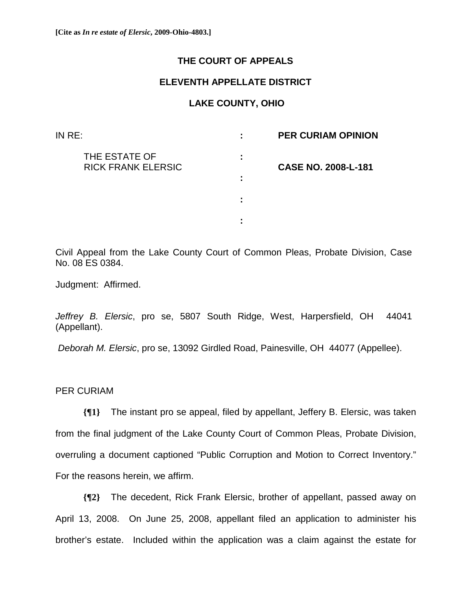## **THE COURT OF APPEALS**

## **ELEVENTH APPELLATE DISTRICT**

## **LAKE COUNTY, OHIO**

| IN RE:                                     | ÷      | <b>PER CURIAM OPINION</b>  |
|--------------------------------------------|--------|----------------------------|
| THE ESTATE OF<br><b>RICK FRANK ELERSIC</b> | ÷      | <b>CASE NO. 2008-L-181</b> |
|                                            | ٠<br>٠ |                            |
|                                            | ٠      |                            |
|                                            | ٠      |                            |

Civil Appeal from the Lake County Court of Common Pleas, Probate Division, Case No. 08 ES 0384.

Judgment: Affirmed.

*Jeffrey B. Elersic*, pro se, 5807 South Ridge, West, Harpersfield, OH 44041 (Appellant).

*Deborah M. Elersic*, pro se, 13092 Girdled Road, Painesville, OH 44077 (Appellee).

PER CURIAM

**{¶1}** The instant pro se appeal, filed by appellant, Jeffery B. Elersic, was taken from the final judgment of the Lake County Court of Common Pleas, Probate Division, overruling a document captioned "Public Corruption and Motion to Correct Inventory." For the reasons herein, we affirm.

**{¶2}** The decedent, Rick Frank Elersic, brother of appellant, passed away on April 13, 2008. On June 25, 2008, appellant filed an application to administer his brother's estate. Included within the application was a claim against the estate for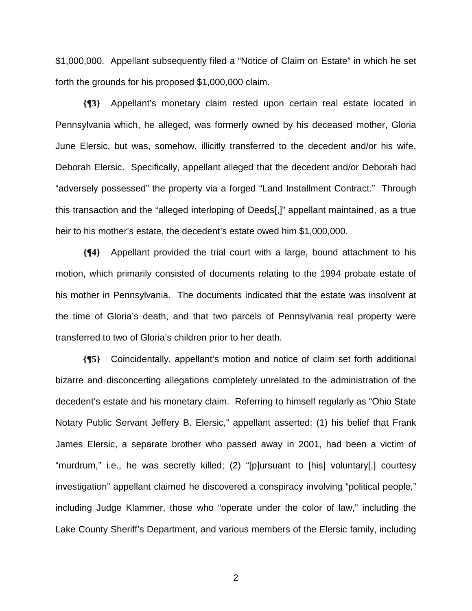\$1,000,000. Appellant subsequently filed a "Notice of Claim on Estate" in which he set forth the grounds for his proposed \$1,000,000 claim.

**{¶3}** Appellant's monetary claim rested upon certain real estate located in Pennsylvania which, he alleged, was formerly owned by his deceased mother, Gloria June Elersic, but was, somehow, illicitly transferred to the decedent and/or his wife, Deborah Elersic. Specifically, appellant alleged that the decedent and/or Deborah had "adversely possessed" the property via a forged "Land Installment Contract." Through this transaction and the "alleged interloping of Deeds[,]" appellant maintained, as a true heir to his mother's estate, the decedent's estate owed him \$1,000,000.

**{¶4}** Appellant provided the trial court with a large, bound attachment to his motion, which primarily consisted of documents relating to the 1994 probate estate of his mother in Pennsylvania. The documents indicated that the estate was insolvent at the time of Gloria's death, and that two parcels of Pennsylvania real property were transferred to two of Gloria's children prior to her death.

**{¶5}** Coincidentally, appellant's motion and notice of claim set forth additional bizarre and disconcerting allegations completely unrelated to the administration of the decedent's estate and his monetary claim. Referring to himself regularly as "Ohio State Notary Public Servant Jeffery B. Elersic," appellant asserted: (1) his belief that Frank James Elersic, a separate brother who passed away in 2001, had been a victim of "murdrum," i.e., he was secretly killed; (2) "[p]ursuant to [his] voluntary[,] courtesy investigation" appellant claimed he discovered a conspiracy involving "political people," including Judge Klammer, those who "operate under the color of law," including the Lake County Sheriff's Department, and various members of the Elersic family, including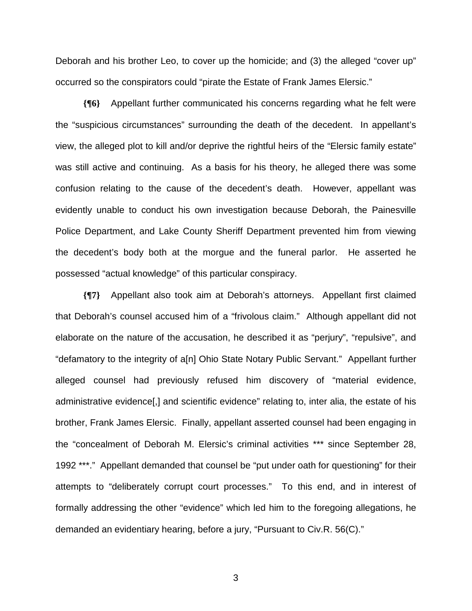Deborah and his brother Leo, to cover up the homicide; and (3) the alleged "cover up" occurred so the conspirators could "pirate the Estate of Frank James Elersic."

**{¶6}** Appellant further communicated his concerns regarding what he felt were the "suspicious circumstances" surrounding the death of the decedent. In appellant's view, the alleged plot to kill and/or deprive the rightful heirs of the "Elersic family estate" was still active and continuing. As a basis for his theory, he alleged there was some confusion relating to the cause of the decedent's death. However, appellant was evidently unable to conduct his own investigation because Deborah, the Painesville Police Department, and Lake County Sheriff Department prevented him from viewing the decedent's body both at the morgue and the funeral parlor. He asserted he possessed "actual knowledge" of this particular conspiracy.

**{¶7}** Appellant also took aim at Deborah's attorneys. Appellant first claimed that Deborah's counsel accused him of a "frivolous claim." Although appellant did not elaborate on the nature of the accusation, he described it as "perjury", "repulsive", and "defamatory to the integrity of a[n] Ohio State Notary Public Servant." Appellant further alleged counsel had previously refused him discovery of "material evidence, administrative evidence[,] and scientific evidence" relating to, inter alia, the estate of his brother, Frank James Elersic. Finally, appellant asserted counsel had been engaging in the "concealment of Deborah M. Elersic's criminal activities \*\*\* since September 28, 1992 \*\*\*." Appellant demanded that counsel be "put under oath for questioning" for their attempts to "deliberately corrupt court processes." To this end, and in interest of formally addressing the other "evidence" which led him to the foregoing allegations, he demanded an evidentiary hearing, before a jury, "Pursuant to Civ.R. 56(C)."

 $\sim$  3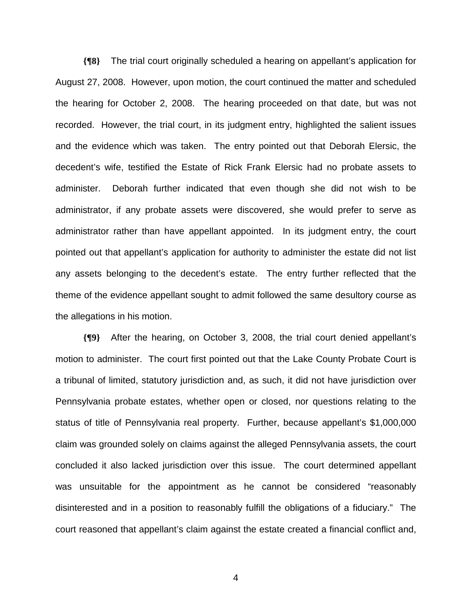**{¶8}** The trial court originally scheduled a hearing on appellant's application for August 27, 2008. However, upon motion, the court continued the matter and scheduled the hearing for October 2, 2008. The hearing proceeded on that date, but was not recorded. However, the trial court, in its judgment entry, highlighted the salient issues and the evidence which was taken. The entry pointed out that Deborah Elersic, the decedent's wife, testified the Estate of Rick Frank Elersic had no probate assets to administer. Deborah further indicated that even though she did not wish to be administrator, if any probate assets were discovered, she would prefer to serve as administrator rather than have appellant appointed. In its judgment entry, the court pointed out that appellant's application for authority to administer the estate did not list any assets belonging to the decedent's estate. The entry further reflected that the theme of the evidence appellant sought to admit followed the same desultory course as the allegations in his motion.

**{¶9}** After the hearing, on October 3, 2008, the trial court denied appellant's motion to administer. The court first pointed out that the Lake County Probate Court is a tribunal of limited, statutory jurisdiction and, as such, it did not have jurisdiction over Pennsylvania probate estates, whether open or closed, nor questions relating to the status of title of Pennsylvania real property. Further, because appellant's \$1,000,000 claim was grounded solely on claims against the alleged Pennsylvania assets, the court concluded it also lacked jurisdiction over this issue. The court determined appellant was unsuitable for the appointment as he cannot be considered "reasonably disinterested and in a position to reasonably fulfill the obligations of a fiduciary." The court reasoned that appellant's claim against the estate created a financial conflict and,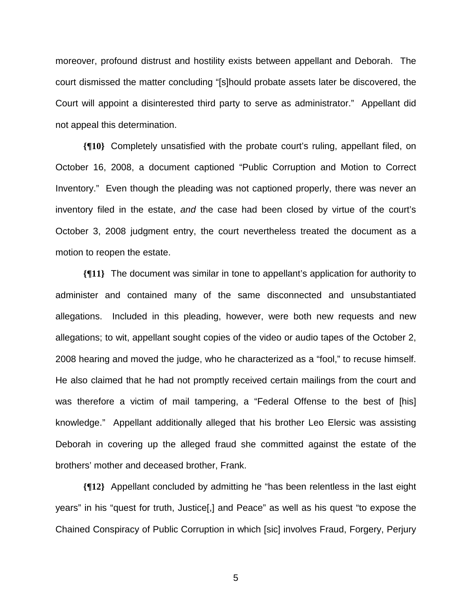moreover, profound distrust and hostility exists between appellant and Deborah. The court dismissed the matter concluding "[s]hould probate assets later be discovered, the Court will appoint a disinterested third party to serve as administrator." Appellant did not appeal this determination.

**{¶10}** Completely unsatisfied with the probate court's ruling, appellant filed, on October 16, 2008, a document captioned "Public Corruption and Motion to Correct Inventory." Even though the pleading was not captioned properly, there was never an inventory filed in the estate, *and* the case had been closed by virtue of the court's October 3, 2008 judgment entry, the court nevertheless treated the document as a motion to reopen the estate.

**{¶11}** The document was similar in tone to appellant's application for authority to administer and contained many of the same disconnected and unsubstantiated allegations. Included in this pleading, however, were both new requests and new allegations; to wit, appellant sought copies of the video or audio tapes of the October 2, 2008 hearing and moved the judge, who he characterized as a "fool," to recuse himself. He also claimed that he had not promptly received certain mailings from the court and was therefore a victim of mail tampering, a "Federal Offense to the best of [his] knowledge." Appellant additionally alleged that his brother Leo Elersic was assisting Deborah in covering up the alleged fraud she committed against the estate of the brothers' mother and deceased brother, Frank.

**{¶12}** Appellant concluded by admitting he "has been relentless in the last eight years" in his "quest for truth, Justice[,] and Peace" as well as his quest "to expose the Chained Conspiracy of Public Corruption in which [sic] involves Fraud, Forgery, Perjury

 $\sim$  5  $\sim$  5  $\sim$  5  $\sim$  5  $\sim$  5  $\sim$  5  $\sim$  5  $\sim$  5  $\sim$  5  $\sim$  5  $\sim$  5  $\sim$  5  $\sim$  5  $\sim$  5  $\sim$  5  $\sim$  5  $\sim$  5  $\sim$  5  $\sim$  5  $\sim$  5  $\sim$  5  $\sim$  5  $\sim$  5  $\sim$  5  $\sim$  5  $\sim$  5  $\sim$  5  $\sim$  5  $\sim$  5  $\sim$  5  $\sim$  5  $\sim$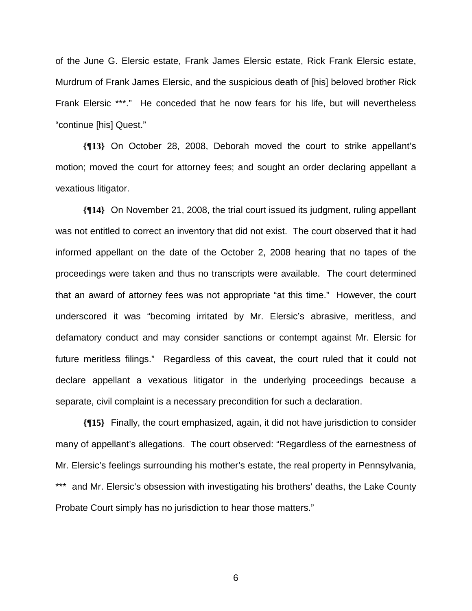of the June G. Elersic estate, Frank James Elersic estate, Rick Frank Elersic estate, Murdrum of Frank James Elersic, and the suspicious death of [his] beloved brother Rick Frank Elersic \*\*\*." He conceded that he now fears for his life, but will nevertheless "continue [his] Quest."

**{¶13}** On October 28, 2008, Deborah moved the court to strike appellant's motion; moved the court for attorney fees; and sought an order declaring appellant a vexatious litigator.

**{¶14}** On November 21, 2008, the trial court issued its judgment, ruling appellant was not entitled to correct an inventory that did not exist. The court observed that it had informed appellant on the date of the October 2, 2008 hearing that no tapes of the proceedings were taken and thus no transcripts were available. The court determined that an award of attorney fees was not appropriate "at this time." However, the court underscored it was "becoming irritated by Mr. Elersic's abrasive, meritless, and defamatory conduct and may consider sanctions or contempt against Mr. Elersic for future meritless filings." Regardless of this caveat, the court ruled that it could not declare appellant a vexatious litigator in the underlying proceedings because a separate, civil complaint is a necessary precondition for such a declaration.

**{¶15}** Finally, the court emphasized, again, it did not have jurisdiction to consider many of appellant's allegations. The court observed: "Regardless of the earnestness of Mr. Elersic's feelings surrounding his mother's estate, the real property in Pennsylvania, \*\*\* and Mr. Elersic's obsession with investigating his brothers' deaths, the Lake County Probate Court simply has no jurisdiction to hear those matters."

 $\sim$  600  $\sim$  600  $\sim$  600  $\sim$  600  $\sim$  600  $\sim$  600  $\sim$  600  $\sim$  600  $\sim$  600  $\sim$  600  $\sim$  600  $\sim$  600  $\sim$  600  $\sim$  600  $\sim$  600  $\sim$  600  $\sim$  600  $\sim$  600  $\sim$  600  $\sim$  600  $\sim$  600  $\sim$  600  $\sim$  600  $\sim$  600  $\sim$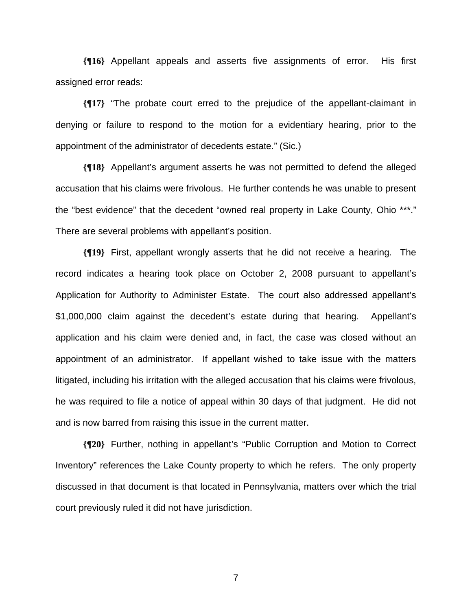**{¶16}** Appellant appeals and asserts five assignments of error. His first assigned error reads:

**{¶17}** "The probate court erred to the prejudice of the appellant-claimant in denying or failure to respond to the motion for a evidentiary hearing, prior to the appointment of the administrator of decedents estate." (Sic.)

**{¶18}** Appellant's argument asserts he was not permitted to defend the alleged accusation that his claims were frivolous. He further contends he was unable to present the "best evidence" that the decedent "owned real property in Lake County, Ohio \*\*\*." There are several problems with appellant's position.

**{¶19}** First, appellant wrongly asserts that he did not receive a hearing. The record indicates a hearing took place on October 2, 2008 pursuant to appellant's Application for Authority to Administer Estate. The court also addressed appellant's \$1,000,000 claim against the decedent's estate during that hearing. Appellant's application and his claim were denied and, in fact, the case was closed without an appointment of an administrator. If appellant wished to take issue with the matters litigated, including his irritation with the alleged accusation that his claims were frivolous, he was required to file a notice of appeal within 30 days of that judgment. He did not and is now barred from raising this issue in the current matter.

**{¶20}** Further, nothing in appellant's "Public Corruption and Motion to Correct Inventory" references the Lake County property to which he refers. The only property discussed in that document is that located in Pennsylvania, matters over which the trial court previously ruled it did not have jurisdiction.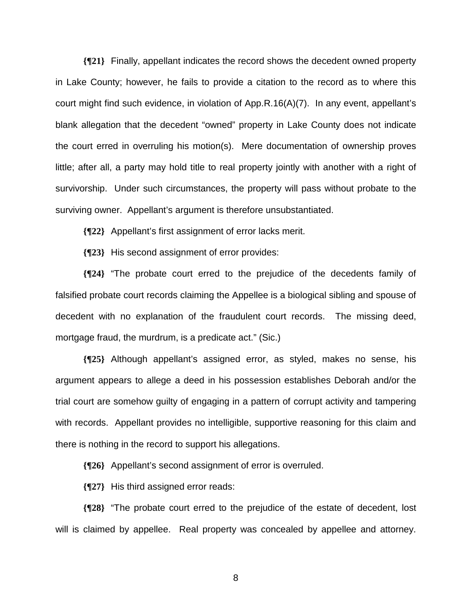**{¶21}** Finally, appellant indicates the record shows the decedent owned property in Lake County; however, he fails to provide a citation to the record as to where this court might find such evidence, in violation of App.R.16(A)(7). In any event, appellant's blank allegation that the decedent "owned" property in Lake County does not indicate the court erred in overruling his motion(s). Mere documentation of ownership proves little; after all, a party may hold title to real property jointly with another with a right of survivorship. Under such circumstances, the property will pass without probate to the surviving owner. Appellant's argument is therefore unsubstantiated.

**{¶22}** Appellant's first assignment of error lacks merit.

**{¶23}** His second assignment of error provides:

**{¶24}** "The probate court erred to the prejudice of the decedents family of falsified probate court records claiming the Appellee is a biological sibling and spouse of decedent with no explanation of the fraudulent court records. The missing deed, mortgage fraud, the murdrum, is a predicate act." (Sic.)

**{¶25}** Although appellant's assigned error, as styled, makes no sense, his argument appears to allege a deed in his possession establishes Deborah and/or the trial court are somehow guilty of engaging in a pattern of corrupt activity and tampering with records. Appellant provides no intelligible, supportive reasoning for this claim and there is nothing in the record to support his allegations.

**{¶26}** Appellant's second assignment of error is overruled.

**{¶27}** His third assigned error reads:

**{¶28}** "The probate court erred to the prejudice of the estate of decedent, lost will is claimed by appellee. Real property was concealed by appellee and attorney.

en andere de la provincia de la provincia de la provincia de la provincia de la provincia de la provincia del<br>En 1888, en 1888, en 1888, en 1888, en 1888, en 1888, en 1888, en 1888, en 1888, en 1888, en 1888, en 1888, en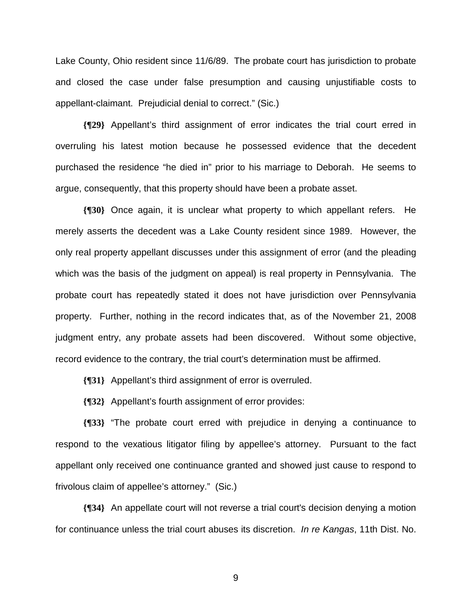Lake County, Ohio resident since 11/6/89. The probate court has jurisdiction to probate and closed the case under false presumption and causing unjustifiable costs to appellant-claimant. Prejudicial denial to correct." (Sic.)

**{¶29}** Appellant's third assignment of error indicates the trial court erred in overruling his latest motion because he possessed evidence that the decedent purchased the residence "he died in" prior to his marriage to Deborah. He seems to argue, consequently, that this property should have been a probate asset.

**{¶30}** Once again, it is unclear what property to which appellant refers. He merely asserts the decedent was a Lake County resident since 1989. However, the only real property appellant discusses under this assignment of error (and the pleading which was the basis of the judgment on appeal) is real property in Pennsylvania. The probate court has repeatedly stated it does not have jurisdiction over Pennsylvania property. Further, nothing in the record indicates that, as of the November 21, 2008 judgment entry, any probate assets had been discovered. Without some objective, record evidence to the contrary, the trial court's determination must be affirmed.

**{¶31}** Appellant's third assignment of error is overruled.

**{¶32}** Appellant's fourth assignment of error provides:

**{¶33}** "The probate court erred with prejudice in denying a continuance to respond to the vexatious litigator filing by appellee's attorney. Pursuant to the fact appellant only received one continuance granted and showed just cause to respond to frivolous claim of appellee's attorney." (Sic.)

**{¶34}** An appellate court will not reverse a trial court's decision denying a motion for continuance unless the trial court abuses its discretion. *In re Kangas*, 11th Dist. No.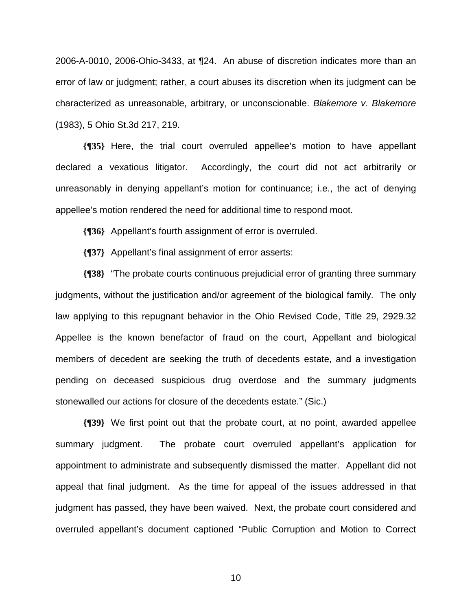2006-A-0010, 2006-Ohio-3433, at ¶24. An abuse of discretion indicates more than an error of law or judgment; rather, a court abuses its discretion when its judgment can be characterized as unreasonable, arbitrary, or unconscionable. *Blakemore v. Blakemore* (1983), 5 Ohio St.3d 217, 219.

**{¶35}** Here, the trial court overruled appellee's motion to have appellant declared a vexatious litigator. Accordingly, the court did not act arbitrarily or unreasonably in denying appellant's motion for continuance; i.e., the act of denying appellee's motion rendered the need for additional time to respond moot.

**{¶36}** Appellant's fourth assignment of error is overruled.

**{¶37}** Appellant's final assignment of error asserts:

**{¶38}** "The probate courts continuous prejudicial error of granting three summary judgments, without the justification and/or agreement of the biological family. The only law applying to this repugnant behavior in the Ohio Revised Code, Title 29, 2929.32 Appellee is the known benefactor of fraud on the court, Appellant and biological members of decedent are seeking the truth of decedents estate, and a investigation pending on deceased suspicious drug overdose and the summary judgments stonewalled our actions for closure of the decedents estate." (Sic.)

**{¶39}** We first point out that the probate court, at no point, awarded appellee summary judgment. The probate court overruled appellant's application for appointment to administrate and subsequently dismissed the matter. Appellant did not appeal that final judgment. As the time for appeal of the issues addressed in that judgment has passed, they have been waived. Next, the probate court considered and overruled appellant's document captioned "Public Corruption and Motion to Correct